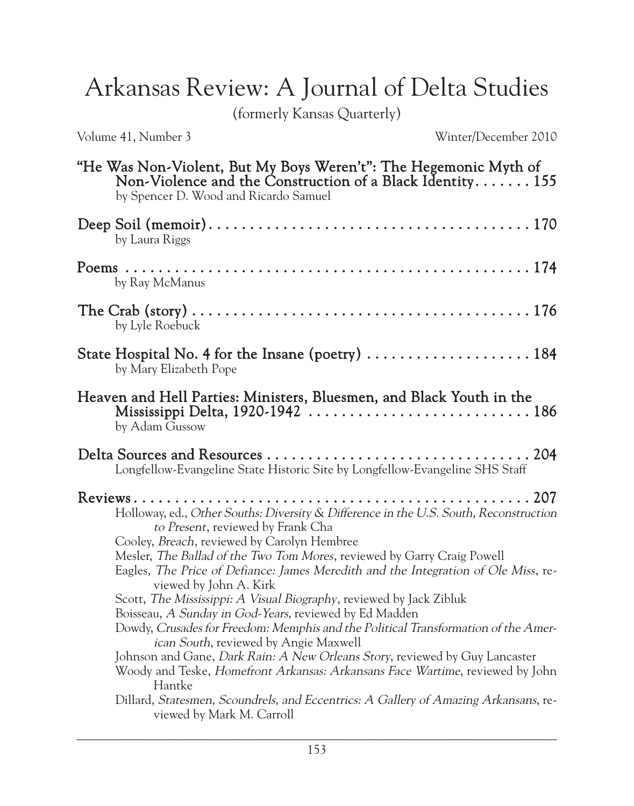Arkansas Review: A Journal of Delta Studies

(formerly Kansas Quarterly)

Volume 41, Number 3 Winter/December 2010

| "He Was Non-Violent, But My Boys Weren't": The Hegemonic Myth of<br>Non-Violence and the Construction of a Black Identity $155$<br>by Spencer D. Wood and Ricardo Samuel                                                                                                                                                                                                                                                                                                                                                                                                                                                                                                                                                            |
|-------------------------------------------------------------------------------------------------------------------------------------------------------------------------------------------------------------------------------------------------------------------------------------------------------------------------------------------------------------------------------------------------------------------------------------------------------------------------------------------------------------------------------------------------------------------------------------------------------------------------------------------------------------------------------------------------------------------------------------|
| by Laura Riggs                                                                                                                                                                                                                                                                                                                                                                                                                                                                                                                                                                                                                                                                                                                      |
| by Ray McManus                                                                                                                                                                                                                                                                                                                                                                                                                                                                                                                                                                                                                                                                                                                      |
| by Lyle Roebuck                                                                                                                                                                                                                                                                                                                                                                                                                                                                                                                                                                                                                                                                                                                     |
| State Hospital No. 4 for the Insane (poetry)  184<br>by Mary Elizabeth Pope                                                                                                                                                                                                                                                                                                                                                                                                                                                                                                                                                                                                                                                         |
| Heaven and Hell Parties: Ministers, Bluesmen, and Black Youth in the<br>by Adam Gussow                                                                                                                                                                                                                                                                                                                                                                                                                                                                                                                                                                                                                                              |
| Longfellow-Evangeline State Historic Site by Longfellow-Evangeline SHS Staff                                                                                                                                                                                                                                                                                                                                                                                                                                                                                                                                                                                                                                                        |
| Holloway, ed., Other Souths: Diversity & Difference in the U.S. South, Reconstruction<br>to Present, reviewed by Frank Cha<br>Cooley, Breach, reviewed by Carolyn Hembree<br>Mesler, The Ballad of the Two Tom Mores, reviewed by Garry Craig Powell<br>Eagles, The Price of Defiance: James Meredith and the Integration of Ole Miss, re-<br>viewed by John A. Kirk<br>Scott, The Mississippi: A Visual Biography, reviewed by Jack Zibluk<br>Boisseau, A Sunday in God-Years, reviewed by Ed Madden<br>Dowdy, Crusades for Freedom: Memphis and the Political Transformation of the Amer-<br><i>ican South</i> , reviewed by Angie Maxwell<br>Johnson and Gane, <i>Dark Rain: A New Orleans Story</i> , reviewed by Guy Lancaster |
| Woody and Teske, Homefront Arkansas: Arkansans Face Wartime, reviewed by John<br>Hantke<br>Dillard, Statesmen, Scoundrels, and Eccentrics: A Gallery of Amazing Arkansans, re-<br>viewed by Mark M. Carroll                                                                                                                                                                                                                                                                                                                                                                                                                                                                                                                         |